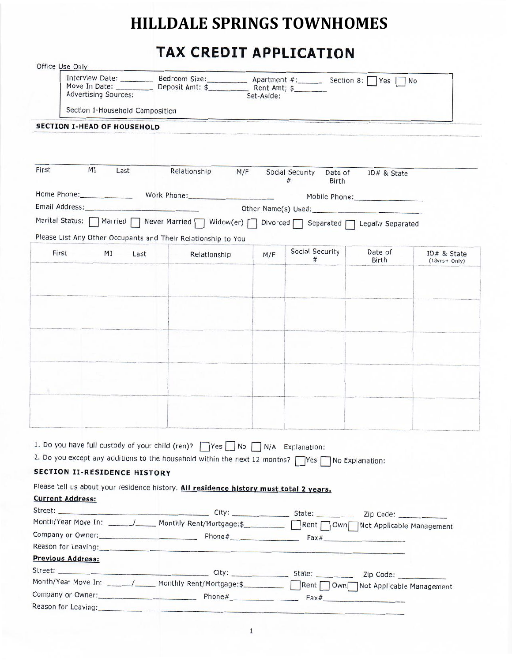# **HILLDALE SPRINGS TOWNHOMES**

# TAX CREDIT APPLICATION

| Office Use Only |                                     |                                                                                                                                                             |            |                            |             |                  |
|-----------------|-------------------------------------|-------------------------------------------------------------------------------------------------------------------------------------------------------------|------------|----------------------------|-------------|------------------|
|                 | <b>Advertising Sources:</b>         | Interview Date: ___________ Bedroom Size: ____________ Apartment #: _______ Section 8:   Yes                                                                | Set-Aside: |                            |             | <b>No</b>        |
|                 | Section I-Household Composition     |                                                                                                                                                             |            |                            |             |                  |
|                 | <b>SECTION I-HEAD OF HOUSEHOLD</b>  |                                                                                                                                                             |            |                            |             |                  |
|                 |                                     |                                                                                                                                                             |            |                            |             |                  |
|                 |                                     |                                                                                                                                                             |            |                            |             |                  |
| First           | MI<br>Last                          | Relationship                                                                                                                                                | M/F        | Social Security<br>Date of |             |                  |
|                 |                                     |                                                                                                                                                             |            | #<br><b>Birth</b>          | ID# & State |                  |
|                 |                                     | Home Phone: Work Phone:                                                                                                                                     |            |                            |             |                  |
|                 |                                     |                                                                                                                                                             |            | Other Name(s) Used:        |             |                  |
|                 |                                     | Marital Status: Married Never Married   Widow(er)   Divorced Separated   Legally Separated<br>Please List Any Other Occupants and Their Relationship to You |            |                            |             |                  |
|                 | First<br>MI<br>Last                 | Relationship                                                                                                                                                | M/F        | Social Security            | Date of     | $ID# &$ State    |
|                 |                                     |                                                                                                                                                             |            | #                          | Birth       | $(18yrs + Only)$ |
|                 |                                     |                                                                                                                                                             |            |                            |             |                  |
|                 |                                     |                                                                                                                                                             |            |                            |             |                  |
|                 |                                     |                                                                                                                                                             |            |                            |             |                  |
|                 |                                     |                                                                                                                                                             |            |                            |             |                  |
|                 |                                     |                                                                                                                                                             |            |                            |             |                  |
|                 |                                     |                                                                                                                                                             |            |                            |             |                  |
|                 |                                     |                                                                                                                                                             |            |                            |             |                  |
|                 |                                     |                                                                                                                                                             |            |                            |             |                  |
|                 |                                     |                                                                                                                                                             |            |                            |             |                  |
|                 |                                     |                                                                                                                                                             |            |                            |             |                  |
|                 |                                     |                                                                                                                                                             |            |                            |             |                  |
|                 |                                     |                                                                                                                                                             |            |                            |             |                  |
|                 |                                     |                                                                                                                                                             |            |                            |             |                  |
|                 |                                     |                                                                                                                                                             |            |                            |             |                  |
|                 |                                     | 1. Do you have full custody of your child (ren)? Ves No N/A Explanation:                                                                                    |            |                            |             |                  |
|                 |                                     | 2. Do you except any additions to the household within the next 12 months? TYes T No Explanation:                                                           |            |                            |             |                  |
|                 | <b>SECTION II-RESIDENCE HISTORY</b> |                                                                                                                                                             |            |                            |             |                  |
|                 |                                     | Please tell us about your residence history. All residence history must total 2 years.                                                                      |            |                            |             |                  |
|                 | <b>Current Address:</b>             |                                                                                                                                                             |            |                            |             |                  |
|                 |                                     |                                                                                                                                                             |            |                            |             |                  |
|                 |                                     | Month/Year Move In: ______/______ Monthly Rent/Mortgage:\$___________ Rent Own Not Applicable Management                                                    |            |                            |             |                  |
|                 |                                     |                                                                                                                                                             |            |                            |             |                  |
|                 |                                     |                                                                                                                                                             |            |                            |             |                  |
|                 | <b>Previous Address:</b>            |                                                                                                                                                             |            |                            |             |                  |
|                 |                                     |                                                                                                                                                             |            |                            |             |                  |
|                 |                                     | Month/Year Move In: _______/______ Monthly Rent/Mortgage:\$___________ Rent Own Not Applicable Management                                                   |            |                            |             |                  |
|                 |                                     |                                                                                                                                                             |            |                            |             |                  |
|                 | Reason for Leaving:                 |                                                                                                                                                             |            |                            |             |                  |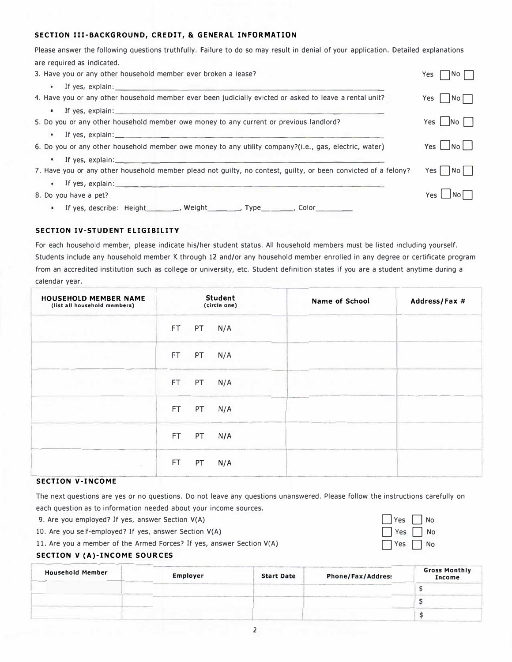### **SECTION III-BACKGROUND, CREDIT, & GENERAL INFORMATION**

Please answer the following questions truthfully. Failure to do so may result in denial of your application. Detailed explanations are required as indicated.

| 3. Have you or any other household member ever broken a lease?                                                                                                                                                                           | No <br>Yes                                                 |
|------------------------------------------------------------------------------------------------------------------------------------------------------------------------------------------------------------------------------------------|------------------------------------------------------------|
| $\bullet$                                                                                                                                                                                                                                |                                                            |
| 4. Have you or any other household member ever been judicially evicted or asked to leave a rental unit?                                                                                                                                  | Yes $\Box$ No $\Box$                                       |
| If yes, explain: The contract of the contract of the contract of the contract of the contract of the contract of the contract of the contract of the contract of the contract of the contract of the contract of the contract<br>$\cdot$ |                                                            |
| 5. Do you or any other household member owe money to any current or previous landlord?                                                                                                                                                   | Yes   $\overline{\phantom{1}}$ No $\overline{\phantom{1}}$ |
| $\cdot$                                                                                                                                                                                                                                  |                                                            |
| 6. Do you or any other household member owe money to any utility company?(i.e., gas, electric, water)                                                                                                                                    | Yes $\Box$ No $\Box$                                       |
|                                                                                                                                                                                                                                          |                                                            |
| 7. Have you or any other household member plead not guilty, no contest, guilty, or been convicted of a felony?                                                                                                                           | Yes   No                                                   |
| If yes, explain: example and the set of the set of the set of the set of the set of the set of the set of the set of the set of the set of the set of the set of the set of the set of the set of the set of the set of the se           |                                                            |
| 8. Do you have a pet?                                                                                                                                                                                                                    | Yes   No                                                   |
| If yes, describe: Height_________, Weight_________, Type________, Color_________<br>$\bullet$                                                                                                                                            |                                                            |

### **SECTION IV-STUDENT ELIGIBILITY**

For each household member, please indicate his/her student status. All household members must be listed including yourself. Students Include any household member K through 12 and/or any household member enrolled in any degree or certificate program from an accredited institution such as college or university, etc. Student definition states if you are a student anytime during a calendar year.

| <b>HOUSEHOLD MEMBER NAME</b><br>(list all household members) |           |    | <b>Student</b><br>(circle one) | <b>Name of School</b> | Address/Fax # |
|--------------------------------------------------------------|-----------|----|--------------------------------|-----------------------|---------------|
|                                                              | FT.       | PT | N/A                            |                       |               |
|                                                              | FT.       | PT | N/A                            |                       |               |
|                                                              | FT.       | PT | N/A                            |                       |               |
|                                                              | <b>FT</b> | PT | N/A                            |                       |               |
|                                                              | FT.       | PT | N/A                            |                       |               |
| $\sim$                                                       | FT.       | PT | N/A                            |                       |               |

The next questions are yes or no questions. Do not leave any questions unanswered. Please follow the instructions carefully on each question as to information needed about your income sources.

> $\bigcap$  Yes  $\bigcap$  No Yes No  $7$  Yes  $\Box$  No

- 9. Are you employed? If yes, answer Section V(A)
- 10. Are you self-employed? If yes, answer Section V(A)
- 11. Are you a member of the Armed Forces? If yes, answer Section V(A)

## r-- -- --- -- ·1-

| <b>Household Member</b> | Employer | <b>Start Date</b> | Phone/Fax/Address | <b>Gross Monthly</b><br>Income |
|-------------------------|----------|-------------------|-------------------|--------------------------------|
|                         |          |                   |                   |                                |
|                         |          |                   |                   |                                |
|                         |          |                   |                   |                                |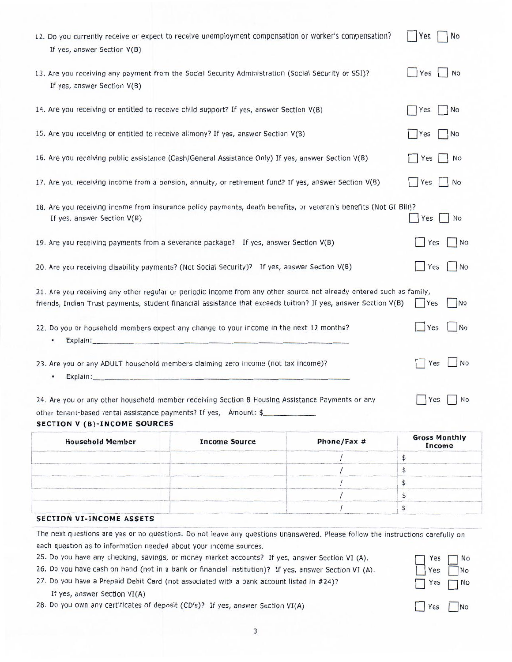| 12. Do you currently receive or expect to receive unemployment compensation or worker's compensation?<br>If yes, answer Section V(B)                                                                                                   | Yes<br>No             |
|----------------------------------------------------------------------------------------------------------------------------------------------------------------------------------------------------------------------------------------|-----------------------|
| 13. Are you receiving any payment from the Social Security Administration (Social Security or SSI)?<br>If yes, answer Section V(B)                                                                                                     | Yes<br><b>No</b>      |
| 14. Are you receiving or entitled to receive child support? If yes, answer Section V(B)                                                                                                                                                | Yes<br>No             |
| 15. Are you receiving or entitled to receive alimony? If yes, answer Section V(B)                                                                                                                                                      | Yes<br>$\overline{N}$ |
| 16. Are you receiving public assistance (Cash/General Assistance Only) If yes, answer Section V(B)                                                                                                                                     | Yes<br>No             |
| 17. Are you receiving income from a pension, annuity, or retirement fund? If yes, answer Section V(B)                                                                                                                                  | Yes<br>No             |
| 18. Are you receiving income from insurance policy payments, death benefits, or veteran's benefits (Not GI Bill)?<br>If yes, answer Section V(B)                                                                                       | Yes<br><b>No</b>      |
| 19. Are you receiving payments from a severance package? If yes, answer Section V(B)                                                                                                                                                   | Yes<br>$ $ No         |
| 20. Are you receiving disability payments? (Not Social Security)? If yes, answer Section V(B)                                                                                                                                          | Yes<br>N <sub>o</sub> |
| 21. Are you receiving any other regular or periodic income from any other source not already entered such as family,<br>friends, Indian Trust payments, student financial assistance that exceeds tuition? If yes, answer Section V(B) | No<br>Yes             |
| 22. Do you or household members expect any change to your income in the next 12 months?<br>Explain: Explain:<br>٠                                                                                                                      | N <sub>o</sub><br>Yes |
| 23. Are you or any ADULT household members claiming zero income (not tax income)?<br>Explain: Explain:                                                                                                                                 | N <sub>o</sub><br>Yes |
| 24. Are you or any other household member receiving Section 8 Housing Assistance Payments or any<br>other tenant-based rental assistance payments? If yes, Amount: \$<br><b>SECTION V (B)-INCOME SOURCES</b>                           | Yes<br>No             |
|                                                                                                                                                                                                                                        | Cross Monthly         |

| <b>Household Member</b> | <b>Income Source</b> | Phone/Fax # | Gross Monthly<br>Income |
|-------------------------|----------------------|-------------|-------------------------|
|                         |                      |             |                         |
|                         |                      |             |                         |
|                         |                      |             |                         |
|                         |                      |             |                         |
|                         |                      |             |                         |

### **SECTION VI-INCOME ASSETS**

The next questions are yes or no questions. Do not leave any questions unanswered. Please follow the instructions carefully on each question as to information needed about your income sources.

25. Do you have any checking, savings, or money market accounts? If yes, answer Section VI (A).

26. Do you have cash on hand (not in a bank or financial institution)? If yes, answer Section VI (A).

27. Do you have a Prepaid Debit Card (not associated with a bank account listed in #24)?

### If yes, answer Section VI(A)

28. Do you own any certificates of deposit (CD's)? If yes, answer Section VI(A)

| 'es | No |
|-----|----|
| Yes | No |
| es  | No |
| Yes | No |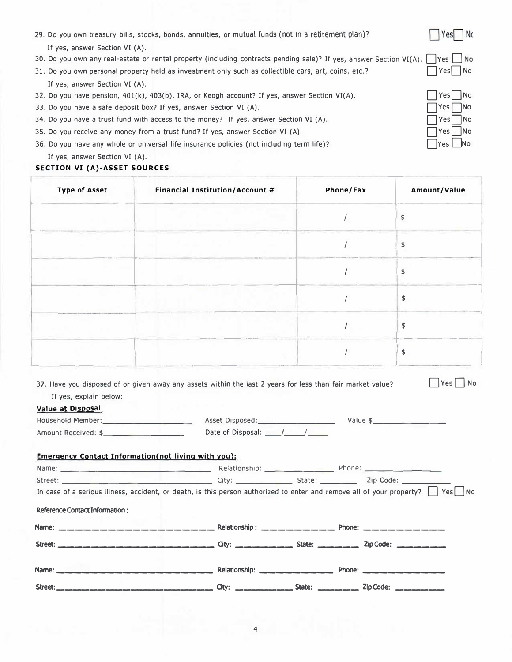| 33. Do you have a safe deposit box? If yes, answer Section VI (A).<br>Yes<br> No<br>34. Do you have a trust fund with access to the money? If yes, answer Section VI (A).<br><b>No</b><br>Yes<br>35. Do you receive any money from a trust fund? If yes, answer Section VI (A).<br>Yes No<br>36. Do you have any whole or universal life insurance policies (not including term life)?<br>Yes<br><b>No</b><br>If yes, answer Section VI (A).<br>SECTION VI (A)-ASSET SOURCES |                                 |           |              |  |
|------------------------------------------------------------------------------------------------------------------------------------------------------------------------------------------------------------------------------------------------------------------------------------------------------------------------------------------------------------------------------------------------------------------------------------------------------------------------------|---------------------------------|-----------|--------------|--|
| <b>Type of Asset</b>                                                                                                                                                                                                                                                                                                                                                                                                                                                         | Financial Institution/Account # | Phone/Fax | Amount/Value |  |
|                                                                                                                                                                                                                                                                                                                                                                                                                                                                              |                                 |           | \$           |  |
|                                                                                                                                                                                                                                                                                                                                                                                                                                                                              |                                 |           | \$           |  |
|                                                                                                                                                                                                                                                                                                                                                                                                                                                                              |                                 |           | \$           |  |
|                                                                                                                                                                                                                                                                                                                                                                                                                                                                              |                                 |           | \$           |  |
|                                                                                                                                                                                                                                                                                                                                                                                                                                                                              |                                 |           | \$           |  |
|                                                                                                                                                                                                                                                                                                                                                                                                                                                                              |                                 |           | \$           |  |

| 29. Do you own treasury bills, stocks, bonds, annuities, or mutual funds (not in a retirement plan)?                    | Yes    | Nc |
|-------------------------------------------------------------------------------------------------------------------------|--------|----|
| If yes, answer Section VI (A).                                                                                          |        |    |
| 30. Do you own any real-estate or rental property (including contracts pending sale)? If yes, answer Section VI(A). Tes |        |    |
| 31. Do you own personal property held as investment only such as collectible cars, art, coins, etc.?                    | Yes No |    |
| If yes, answer Section VI (A).                                                                                          |        |    |
| 32. Do you have pension, 401(k), 403(b), IRA, or Keogh account? If yes, answer Section VI(A).                           | Yes No |    |
|                                                                                                                         |        |    |

| Yes | No      |
|-----|---------|
| Yes | No      |
| Yes | No      |
| Yes | No      |
| Yes | $\circ$ |

37. Have you disposed of or given away any assets within the last 2 years for less than fair market value?  $\Box$  Yes  $\Box$  No

|                                                                                                                               |                                 | State: $\frac{1}{1}$ | Zip Code:            |  |
|-------------------------------------------------------------------------------------------------------------------------------|---------------------------------|----------------------|----------------------|--|
|                                                                                                                               | Relationship: ______________    |                      | Phone: _____________ |  |
| Reference Contact Information :                                                                                               |                                 |                      |                      |  |
| In case of a serious illness, accident, or death, is this person authorized to enter and remove all of your property?     Yes |                                 |                      |                      |  |
| Street: Zip Code: 2012 City: City: State: 2012 219 Code:                                                                      |                                 |                      |                      |  |
|                                                                                                                               |                                 |                      |                      |  |
| Emergency Contact Information(not living with you):                                                                           |                                 |                      |                      |  |
| Amount Received: \$                                                                                                           | Date of Disposal: $\sqrt{2\pi}$ |                      |                      |  |
| Household Member: _________________________                                                                                   |                                 |                      | Value \$             |  |
| Value at Disposal                                                                                                             |                                 |                      |                      |  |
| If yes, explain below:                                                                                                        |                                 |                      |                      |  |

| Name:   | Relationship: | Phone:                        |  |
|---------|---------------|-------------------------------|--|
|         |               |                               |  |
| Street: | City:         | _________ Zip Code:<br>State: |  |

| ۰ρς | N۵ |
|-----|----|
|     | No |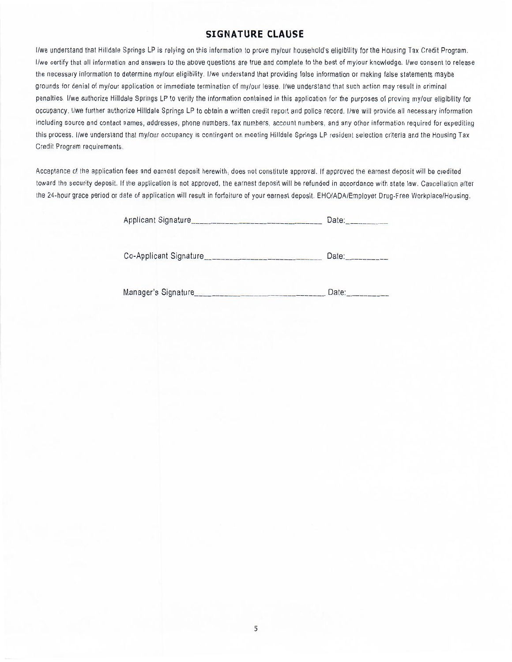### **SIGNATURE CLAUSE**

I/we understand that Hilldale Springs LP is relying on this information to prove my/our household's eligibility for the Housing Tax Credit Program. I/we certify that all information and answers to the above questions are true and complete to the best of my/our knowledge. I/we consent to release the necessary information to determine my/our eligibility. I/we understand that providing false information or making false statements maybe grounds for denial of my/our application or immediate termination of my/our lease. I/we understand that such action may result in criminal penalties. I/we authorize Hilldale Springs LP to verify the information contained in this application for the purposes of proving my/our eligibility for occupancy. I/we further authorize Hilldale Springs LP to obtain a written credit report and police record. I/we will provide all necessary information Including source and contact names, addresses, phone numbers, fax numbers, account numbers, and any other information required for expediting this process. I/we understand that my/our occupancy is contingent on meeting Hilldale Springs LP resident selection criteria and the Housing Tax Credit Program requirements.

Acceptance of the application fees and earnest deposit herewith, does not constitute approval. If approved the earnest deposit will be credited toward the security deposit. If the application is not approved, the earnest deposit will be refunded in accordance with state law. Cancellation after the 24-hour grace period or date of application will result in forfeiture of your earnest deposit. EHO/ADA/Employer Drug-Free Workplace/Housing.

Applicant Signature Date:

Co-Applicant Signature Date: Date:

Manager's Signature Date: